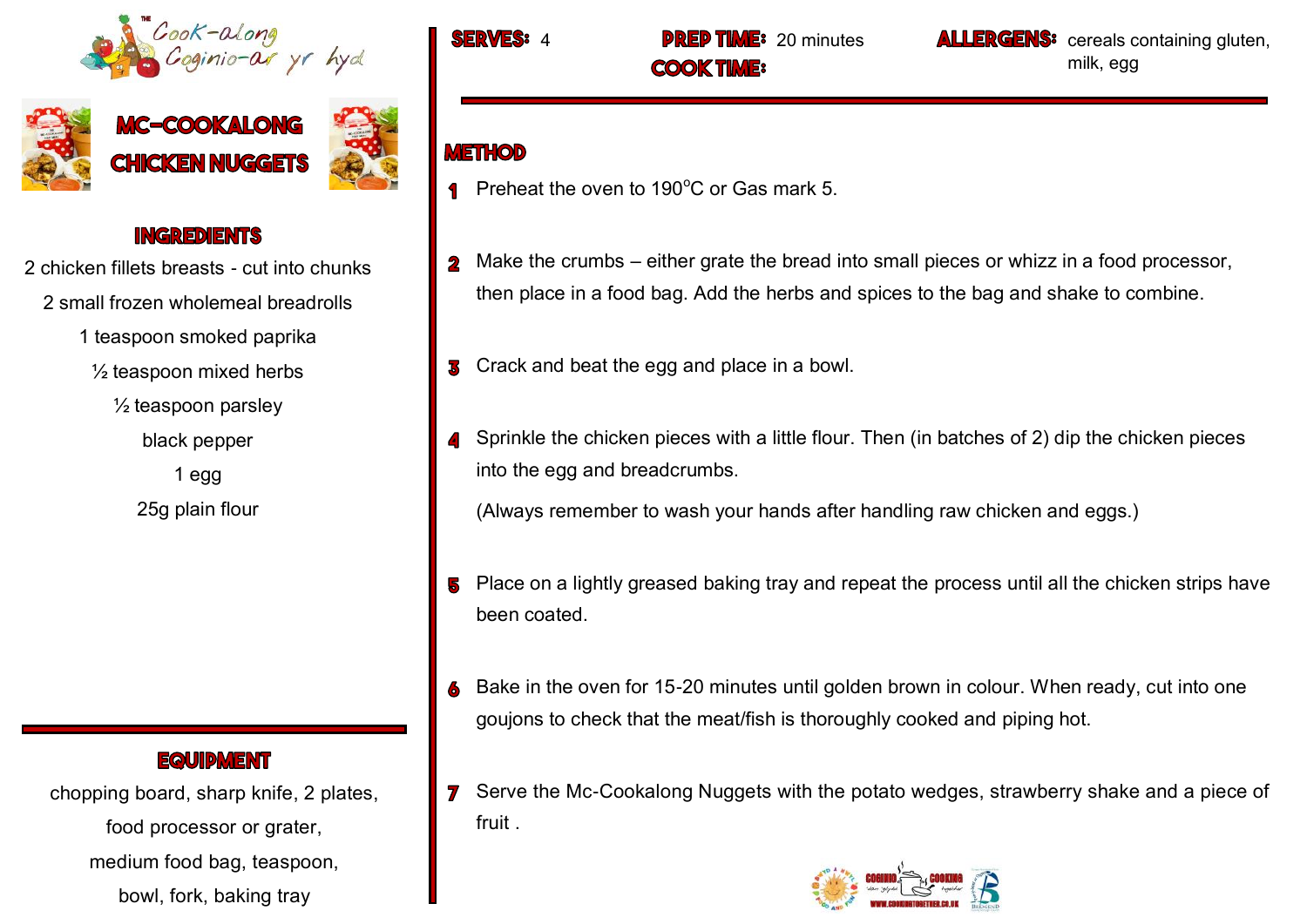





## **INGREDIENTS**

- 2 chicken fillets breasts cut into chunks 2 small frozen wholemeal breadrolls
	- 1 teaspoon smoked paprika
		- $\frac{1}{2}$  teaspoon mixed herbs
			- $\frac{1}{2}$  teaspoon parsley
				- black pepper
				- 1 egg 25g plain flour

# **EQUIDMENT**

chopping board, sharp knife, 2 plates, food processor or grater, medium food bag, teaspoon, bowl, fork, baking tray

**COOK TIME:** 

**ME:** 20 minutes **ALLERGENS:** cereals containing gluten, milk, egg

# **METHOD**

- **Preheat the oven to 190°C or Gas mark 5.**
- Make the crumbs either grate the bread into small pieces or whizz in a food processor, then place in a food bag. Add the herbs and spices to the bag and shake to combine.
- S Crack and beat the egg and place in a bowl.
- Sprinkle the chicken pieces with a little flour. Then (in batches of 2) dip the chicken pieces into the egg and breadcrumbs.

(Always remember to wash your hands after handling raw chicken and eggs.)

- **5** Place on a lightly greased baking tray and repeat the process until all the chicken strips have been coated.
- 6 Bake in the oven for 15-20 minutes until golden brown in colour. When ready, cut into one goujons to check that the meat/fish is thoroughly cooked and piping hot.
- **7** Serve the Mc-Cookalong Nuggets with the potato wedges, strawberry shake and a piece of fruit .

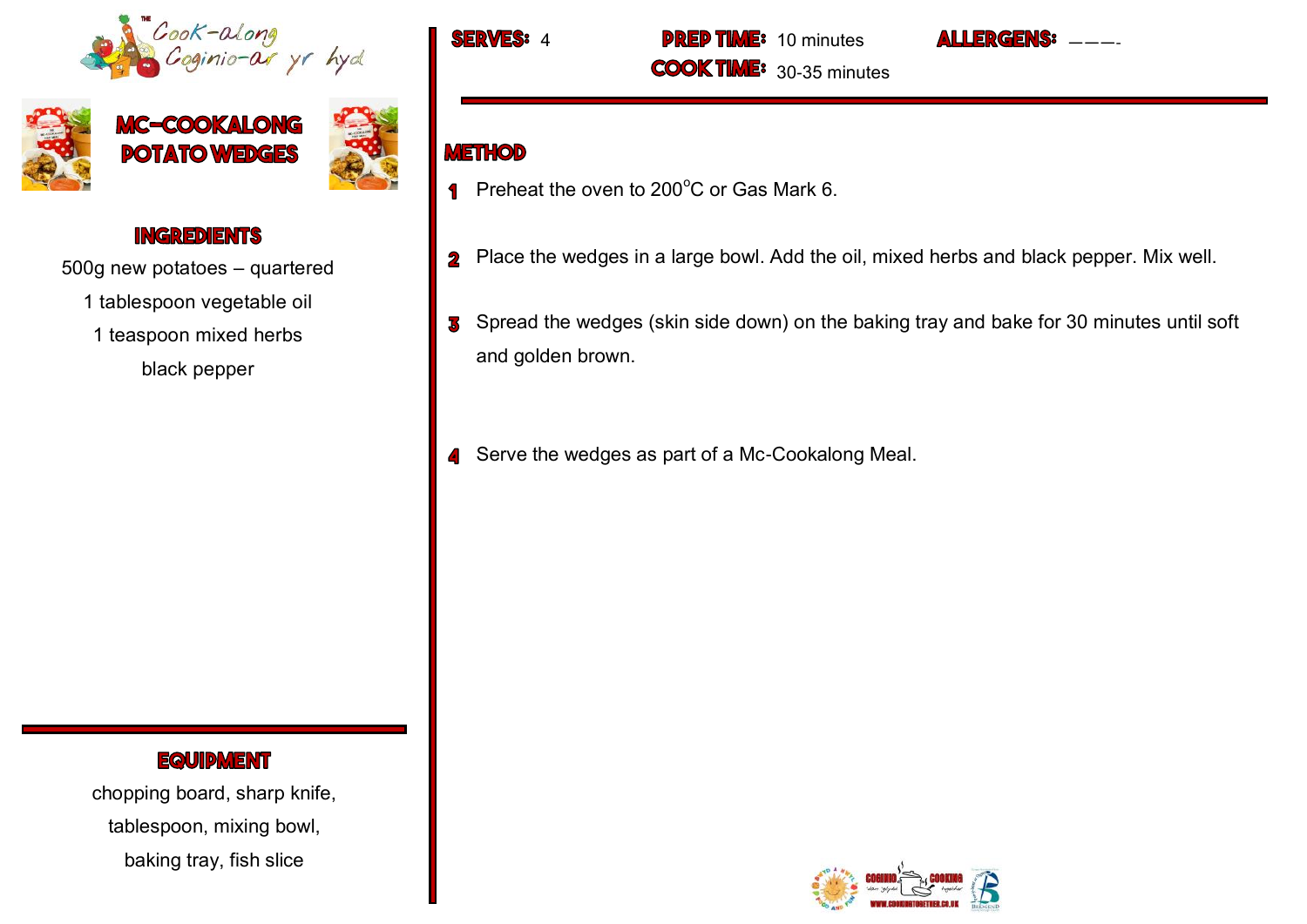





### **INGREDIENTS**

500g new potatoes – quartered

1 tablespoon vegetable oil

1 teaspoon mixed herbs

black pepper

#### **EQUIPMENT**

chopping board, sharp knife, tablespoon, mixing bowl, baking tray, fish slice

**FRWES:** 

**PREP TIME:** 10 minutes **COOK TIME:** 30-35 minutes

## **METHOD**

- Preheat the oven to  $200^{\circ}$ C or Gas Mark 6.  $\overline{\mathbf{P}}$
- 2 Place the wedges in a large bowl. Add the oil, mixed herbs and black pepper. Mix well.

———-

**I I FRGENS:** 

- S Spread the wedges (skin side down) on the baking tray and bake for 30 minutes until soft and golden brown.
- **4** Serve the wedges as part of a Mc-Cookalong Meal.